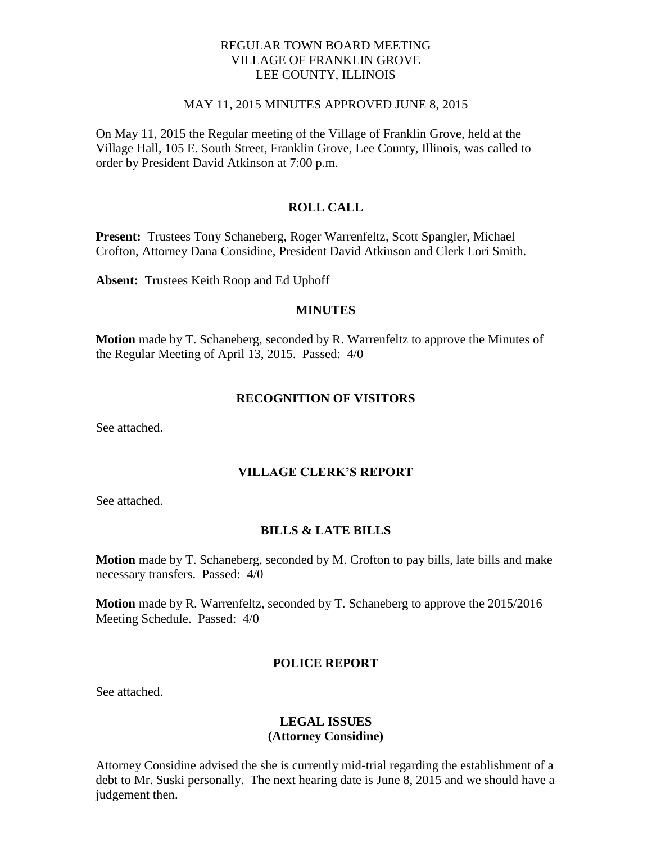# REGULAR TOWN BOARD MEETING VILLAGE OF FRANKLIN GROVE LEE COUNTY, ILLINOIS

#### MAY 11, 2015 MINUTES APPROVED JUNE 8, 2015

On May 11, 2015 the Regular meeting of the Village of Franklin Grove, held at the Village Hall, 105 E. South Street, Franklin Grove, Lee County, Illinois, was called to order by President David Atkinson at 7:00 p.m.

# **ROLL CALL**

**Present:** Trustees Tony Schaneberg, Roger Warrenfeltz, Scott Spangler, Michael Crofton, Attorney Dana Considine, President David Atkinson and Clerk Lori Smith.

**Absent:** Trustees Keith Roop and Ed Uphoff

## **MINUTES**

**Motion** made by T. Schaneberg, seconded by R. Warrenfeltz to approve the Minutes of the Regular Meeting of April 13, 2015. Passed: 4/0

## **RECOGNITION OF VISITORS**

See attached.

## **VILLAGE CLERK'S REPORT**

See attached.

#### **BILLS & LATE BILLS**

**Motion** made by T. Schaneberg, seconded by M. Crofton to pay bills, late bills and make necessary transfers. Passed: 4/0

**Motion** made by R. Warrenfeltz, seconded by T. Schaneberg to approve the 2015/2016 Meeting Schedule. Passed: 4/0

#### **POLICE REPORT**

See attached.

# **LEGAL ISSUES (Attorney Considine)**

Attorney Considine advised the she is currently mid-trial regarding the establishment of a debt to Mr. Suski personally. The next hearing date is June 8, 2015 and we should have a judgement then.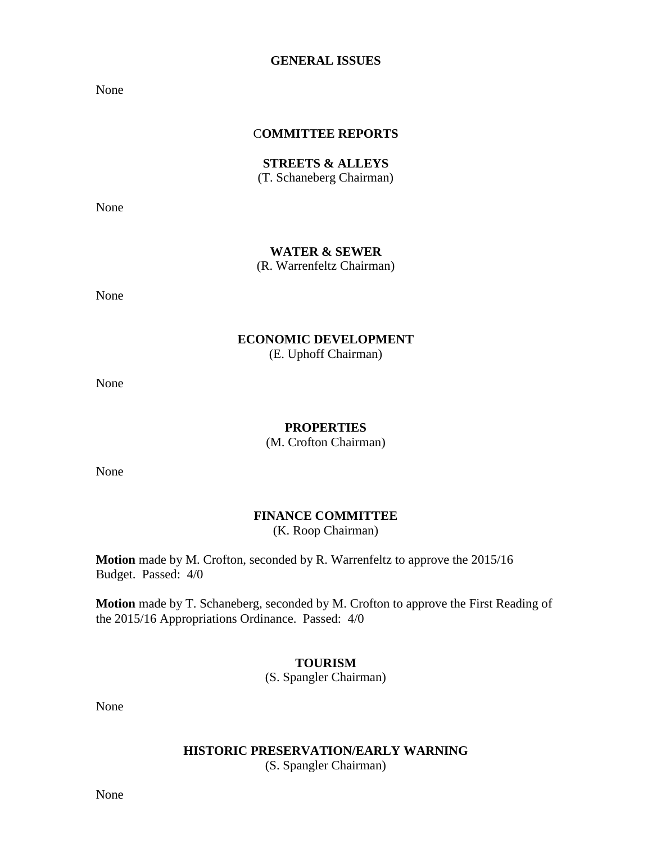### **GENERAL ISSUES**

None

## C**OMMITTEE REPORTS**

**STREETS & ALLEYS** (T. Schaneberg Chairman)

None

## **WATER & SEWER**

(R. Warrenfeltz Chairman)

None

## **ECONOMIC DEVELOPMENT** (E. Uphoff Chairman)

None

## **PROPERTIES**

(M. Crofton Chairman)

None

# **FINANCE COMMITTEE** (K. Roop Chairman)

**Motion** made by M. Crofton, seconded by R. Warrenfeltz to approve the 2015/16 Budget. Passed: 4/0

**Motion** made by T. Schaneberg, seconded by M. Crofton to approve the First Reading of the 2015/16 Appropriations Ordinance. Passed: 4/0

## **TOURISM**

(S. Spangler Chairman)

None

# **HISTORIC PRESERVATION/EARLY WARNING**

(S. Spangler Chairman)

None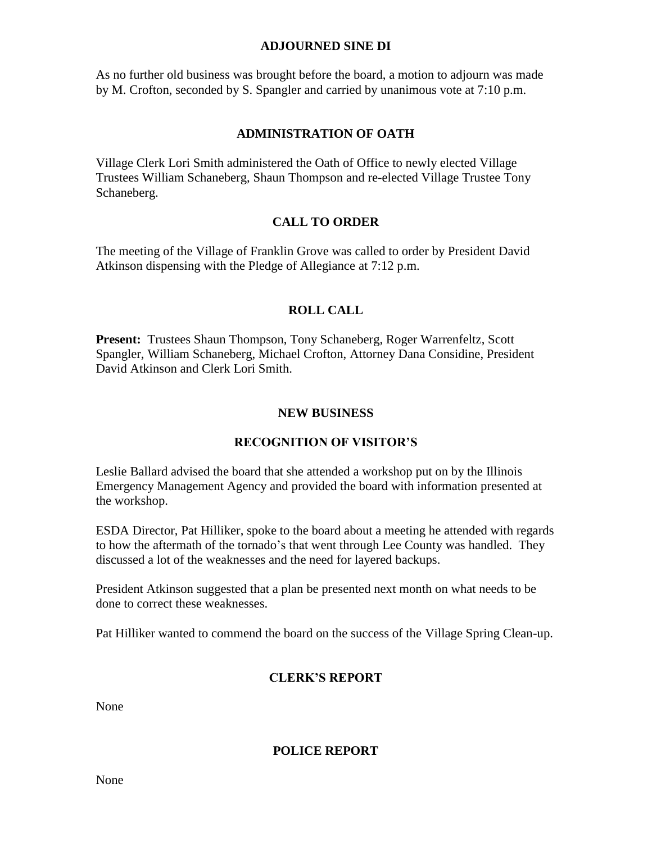## **ADJOURNED SINE DI**

As no further old business was brought before the board, a motion to adjourn was made by M. Crofton, seconded by S. Spangler and carried by unanimous vote at 7:10 p.m.

# **ADMINISTRATION OF OATH**

Village Clerk Lori Smith administered the Oath of Office to newly elected Village Trustees William Schaneberg, Shaun Thompson and re-elected Village Trustee Tony Schaneberg.

# **CALL TO ORDER**

The meeting of the Village of Franklin Grove was called to order by President David Atkinson dispensing with the Pledge of Allegiance at 7:12 p.m.

# **ROLL CALL**

**Present:** Trustees Shaun Thompson, Tony Schaneberg, Roger Warrenfeltz, Scott Spangler, William Schaneberg, Michael Crofton, Attorney Dana Considine, President David Atkinson and Clerk Lori Smith.

# **NEW BUSINESS**

# **RECOGNITION OF VISITOR'S**

Leslie Ballard advised the board that she attended a workshop put on by the Illinois Emergency Management Agency and provided the board with information presented at the workshop.

ESDA Director, Pat Hilliker, spoke to the board about a meeting he attended with regards to how the aftermath of the tornado's that went through Lee County was handled. They discussed a lot of the weaknesses and the need for layered backups.

President Atkinson suggested that a plan be presented next month on what needs to be done to correct these weaknesses.

Pat Hilliker wanted to commend the board on the success of the Village Spring Clean-up.

# **CLERK'S REPORT**

None

# **POLICE REPORT**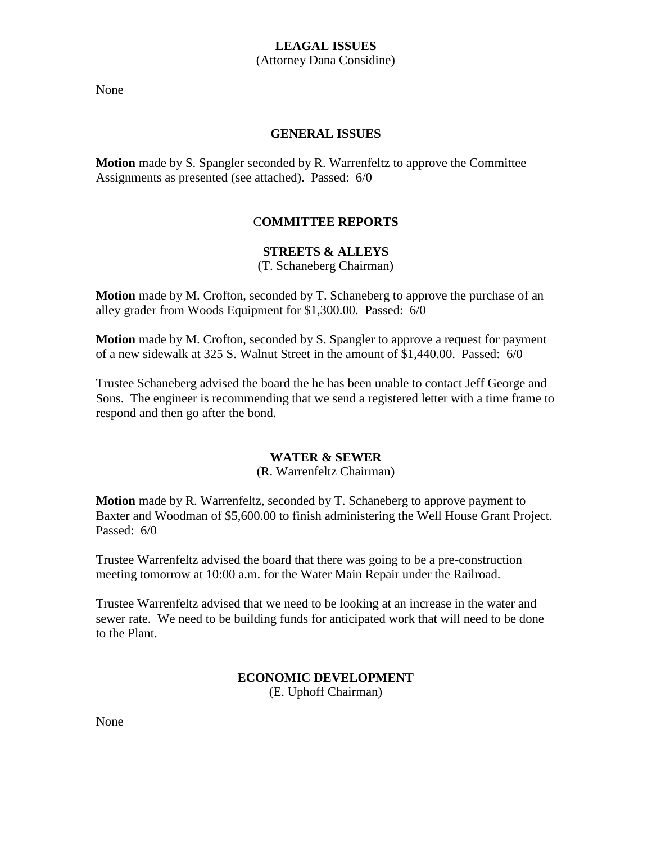# **LEAGAL ISSUES** (Attorney Dana Considine)

None

# **GENERAL ISSUES**

**Motion** made by S. Spangler seconded by R. Warrenfeltz to approve the Committee Assignments as presented (see attached). Passed: 6/0

# C**OMMITTEE REPORTS**

# **STREETS & ALLEYS**

(T. Schaneberg Chairman)

**Motion** made by M. Crofton, seconded by T. Schaneberg to approve the purchase of an alley grader from Woods Equipment for \$1,300.00. Passed: 6/0

**Motion** made by M. Crofton, seconded by S. Spangler to approve a request for payment of a new sidewalk at 325 S. Walnut Street in the amount of \$1,440.00. Passed: 6/0

Trustee Schaneberg advised the board the he has been unable to contact Jeff George and Sons. The engineer is recommending that we send a registered letter with a time frame to respond and then go after the bond.

## **WATER & SEWER**

## (R. Warrenfeltz Chairman)

**Motion** made by R. Warrenfeltz, seconded by T. Schaneberg to approve payment to Baxter and Woodman of \$5,600.00 to finish administering the Well House Grant Project. Passed: 6/0

Trustee Warrenfeltz advised the board that there was going to be a pre-construction meeting tomorrow at 10:00 a.m. for the Water Main Repair under the Railroad.

Trustee Warrenfeltz advised that we need to be looking at an increase in the water and sewer rate. We need to be building funds for anticipated work that will need to be done to the Plant.

## **ECONOMIC DEVELOPMENT** (E. Uphoff Chairman)

None